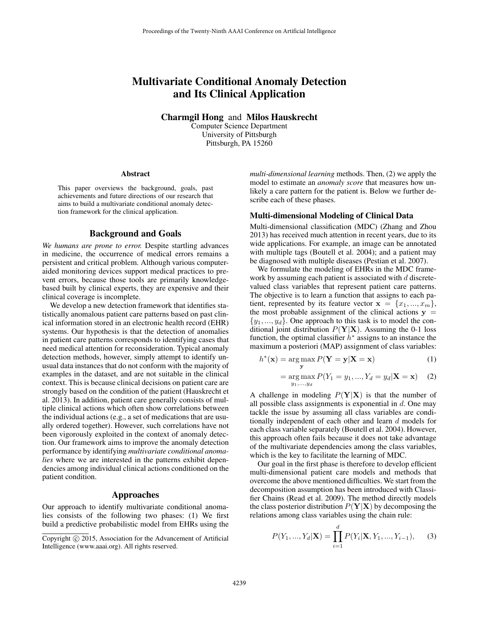# Multivariate Conditional Anomaly Detection and Its Clinical Application

Charmgil Hong and Milos Hauskrecht

Computer Science Department University of Pittsburgh Pittsburgh, PA 15260

#### Abstract

This paper overviews the background, goals, past achievements and future directions of our research that aims to build a multivariate conditional anomaly detection framework for the clinical application.

# Background and Goals

*We humans are prone to error.* Despite startling advances in medicine, the occurrence of medical errors remains a persistent and critical problem. Although various computeraided monitoring devices support medical practices to prevent errors, because those tools are primarily knowledgebased built by clinical experts, they are expensive and their clinical coverage is incomplete.

We develop a new detection framework that identifies statistically anomalous patient care patterns based on past clinical information stored in an electronic health record (EHR) systems. Our hypothesis is that the detection of anomalies in patient care patterns corresponds to identifying cases that need medical attention for reconsideration. Typical anomaly detection methods, however, simply attempt to identify unusual data instances that do not conform with the majority of examples in the dataset, and are not suitable in the clinical context. This is because clinical decisions on patient care are strongly based on the condition of the patient (Hauskrecht et al. 2013). In addition, patient care generally consists of multiple clinical actions which often show correlations between the individual actions (e.g., a set of medications that are usually ordered together). However, such correlations have not been vigorously exploited in the context of anomaly detection. Our framework aims to improve the anomaly detection performance by identifying *multivariate conditional anomalies* where we are interested in the patterns exhibit dependencies among individual clinical actions conditioned on the patient condition.

# Approaches

Our approach to identify multivariate conditional anomalies consists of the following two phases: (1) We first build a predictive probabilistic model from EHRs using the

*multi-dimensional learning* methods. Then, (2) we apply the model to estimate an *anomaly score* that measures how unlikely a care pattern for the patient is. Below we further describe each of these phases.

#### Multi-dimensional Modeling of Clinical Data

Multi-dimensional classification (MDC) (Zhang and Zhou 2013) has received much attention in recent years, due to its wide applications. For example, an image can be annotated with multiple tags (Boutell et al. 2004); and a patient may be diagnosed with multiple diseases (Pestian et al. 2007).

We formulate the modeling of EHRs in the MDC framework by assuming each patient is associated with  $d$  discretevalued class variables that represent patient care patterns. The objective is to learn a function that assigns to each patient, represented by its feature vector  $\mathbf{x} = \{x_1, ..., x_m\},\$ the most probable assignment of the clinical actions  $y =$  $\{y_1, ..., y_d\}$ . One approach to this task is to model the conditional joint distribution  $P(Y|X)$ . Assuming the 0-1 loss function, the optimal classifier  $h^*$  assigns to an instance the maximum a posteriori (MAP) assignment of class variables:

$$
h^*(\mathbf{x}) = \underset{\mathbf{y}}{\arg \max} P(\mathbf{Y} = \mathbf{y} | \mathbf{X} = \mathbf{x})
$$
 (1)

$$
= \underset{y_1, \dots, y_d}{\arg \max} P(Y_1 = y_1, \dots, Y_d = y_d | \mathbf{X} = \mathbf{x}) \tag{2}
$$

A challenge in modeling  $P(Y|X)$  is that the number of all possible class assignments is exponential in  $d$ . One may tackle the issue by assuming all class variables are conditionally independent of each other and learn d models for each class variable separately (Boutell et al. 2004). However, this approach often fails because it does not take advantage of the multivariate dependencies among the class variables, which is the key to facilitate the learning of MDC.

Our goal in the first phase is therefore to develop efficient multi-dimensional patient care models and methods that overcome the above mentioned difficulties. We start from the decomposition assumption has been introduced with Classifier Chains (Read et al. 2009). The method directly models the class posterior distribution  $P(Y|X)$  by decomposing the relations among class variables using the chain rule:

$$
P(Y_1, ..., Y_d | \mathbf{X}) = \prod_{i=1}^d P(Y_i | \mathbf{X}, Y_1, ..., Y_{i-1}), \quad (3)
$$

Copyright (c) 2015, Association for the Advancement of Artificial Intelligence (www.aaai.org). All rights reserved.